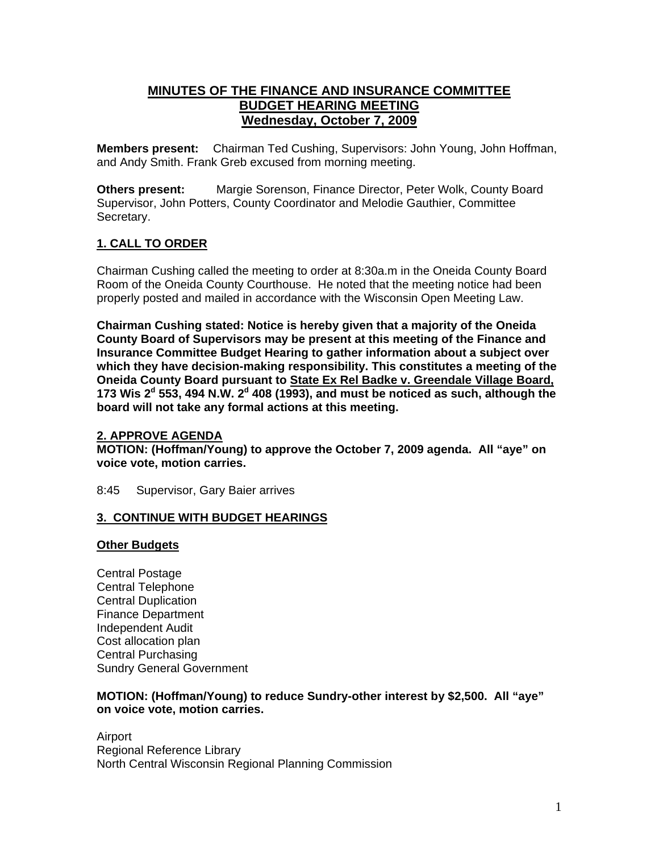# **MINUTES OF THE FINANCE AND INSURANCE COMMITTEE BUDGET HEARING MEETING Wednesday, October 7, 2009**

**Members present:** Chairman Ted Cushing, Supervisors: John Young, John Hoffman, and Andy Smith. Frank Greb excused from morning meeting.

**Others present:** Margie Sorenson, Finance Director, Peter Wolk, County Board Supervisor, John Potters, County Coordinator and Melodie Gauthier, Committee Secretary.

## **1. CALL TO ORDER**

Chairman Cushing called the meeting to order at 8:30a.m in the Oneida County Board Room of the Oneida County Courthouse. He noted that the meeting notice had been properly posted and mailed in accordance with the Wisconsin Open Meeting Law.

**Chairman Cushing stated: Notice is hereby given that a majority of the Oneida County Board of Supervisors may be present at this meeting of the Finance and Insurance Committee Budget Hearing to gather information about a subject over which they have decision-making responsibility. This constitutes a meeting of the Oneida County Board pursuant to State Ex Rel Badke v. Greendale Village Board, 173 Wis 2<sup>d</sup> 553, 494 N.W. 2<sup>d</sup> 408 (1993), and must be noticed as such, although the board will not take any formal actions at this meeting.** 

## **2. APPROVE AGENDA**

**MOTION: (Hoffman/Young) to approve the October 7, 2009 agenda. All "aye" on voice vote, motion carries.** 

8:45 Supervisor, Gary Baier arrives

#### **3. CONTINUE WITH BUDGET HEARINGS**

#### **Other Budgets**

Central Postage Central Telephone Central Duplication Finance Department Independent Audit Cost allocation plan Central Purchasing Sundry General Government

#### **MOTION: (Hoffman/Young) to reduce Sundry-other interest by \$2,500. All "aye" on voice vote, motion carries.**

Airport Regional Reference Library North Central Wisconsin Regional Planning Commission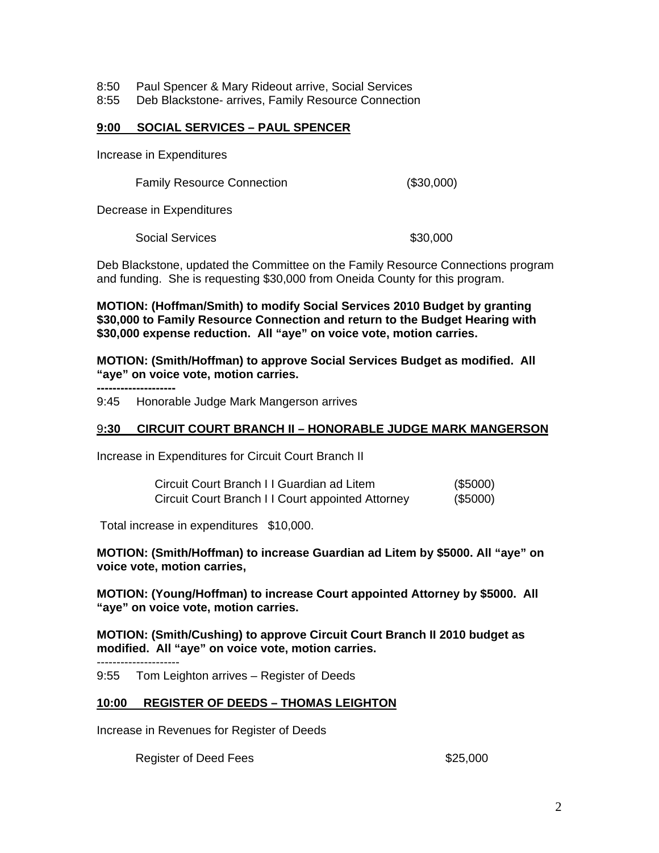8:50 Paul Spencer & Mary Rideout arrive, Social Services

8:55 Deb Blackstone- arrives, Family Resource Connection

### **9:00 SOCIAL SERVICES – PAUL SPENCER**

Increase in Expenditures

Family Resource Connection (\$30,000)

Decrease in Expenditures

Social Services **\$30,000** 

Deb Blackstone, updated the Committee on the Family Resource Connections program and funding. She is requesting \$30,000 from Oneida County for this program.

**MOTION: (Hoffman/Smith) to modify Social Services 2010 Budget by granting \$30,000 to Family Resource Connection and return to the Budget Hearing with \$30,000 expense reduction. All "aye" on voice vote, motion carries.** 

**MOTION: (Smith/Hoffman) to approve Social Services Budget as modified. All "aye" on voice vote, motion carries.** 

**--------------------**  9:45 Honorable Judge Mark Mangerson arrives

#### 9**:30 CIRCUIT COURT BRANCH II – HONORABLE JUDGE MARK MANGERSON**

Increase in Expenditures for Circuit Court Branch II

| Circuit Court Branch I I Guardian ad Litem        | (\$5000) |
|---------------------------------------------------|----------|
| Circuit Court Branch I I Court appointed Attorney | (\$5000) |

Total increase in expenditures \$10,000.

**MOTION: (Smith/Hoffman) to increase Guardian ad Litem by \$5000. All "aye" on voice vote, motion carries,** 

**MOTION: (Young/Hoffman) to increase Court appointed Attorney by \$5000. All "aye" on voice vote, motion carries.** 

**MOTION: (Smith/Cushing) to approve Circuit Court Branch II 2010 budget as modified. All "aye" on voice vote, motion carries.** 

---------------------

9:55 Tom Leighton arrives – Register of Deeds

#### **10:00 REGISTER OF DEEDS – THOMAS LEIGHTON**

Increase in Revenues for Register of Deeds

Register of Deed Fees \$25,000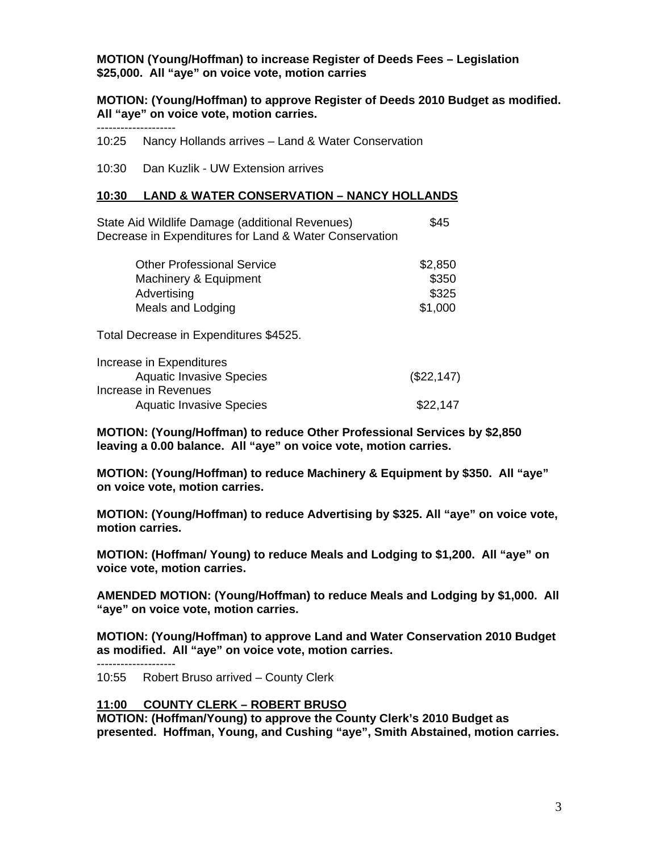**MOTION (Young/Hoffman) to increase Register of Deeds Fees – Legislation \$25,000. All "aye" on voice vote, motion carries** 

**MOTION: (Young/Hoffman) to approve Register of Deeds 2010 Budget as modified. All "aye" on voice vote, motion carries.** 

--------------------

10:25 Nancy Hollands arrives – Land & Water Conservation

10:30 Dan Kuzlik - UW Extension arrives

#### **10:30 LAND & WATER CONSERVATION – NANCY HOLLANDS**

State Aid Wildlife Damage (additional Revenues) \$45 Decrease in Expenditures for Land & Water Conservation

| <b>Other Professional Service</b> | \$2,850 |
|-----------------------------------|---------|
| Machinery & Equipment             | \$350   |
| Advertising                       | \$325   |
| Meals and Lodging                 | \$1,000 |

Total Decrease in Expenditures \$4525.

| Increase in Expenditures        |              |
|---------------------------------|--------------|
| <b>Aquatic Invasive Species</b> | $(\$22,147)$ |
| Increase in Revenues            |              |
| <b>Aquatic Invasive Species</b> | \$22,147     |

**MOTION: (Young/Hoffman) to reduce Other Professional Services by \$2,850 leaving a 0.00 balance. All "aye" on voice vote, motion carries.** 

**MOTION: (Young/Hoffman) to reduce Machinery & Equipment by \$350. All "aye" on voice vote, motion carries.** 

**MOTION: (Young/Hoffman) to reduce Advertising by \$325. All "aye" on voice vote, motion carries.** 

**MOTION: (Hoffman/ Young) to reduce Meals and Lodging to \$1,200. All "aye" on voice vote, motion carries.** 

**AMENDED MOTION: (Young/Hoffman) to reduce Meals and Lodging by \$1,000. All "aye" on voice vote, motion carries.** 

**MOTION: (Young/Hoffman) to approve Land and Water Conservation 2010 Budget as modified. All "aye" on voice vote, motion carries.** 

--------------------

10:55 Robert Bruso arrived – County Clerk

#### **11:00 COUNTY CLERK – ROBERT BRUSO**

**MOTION: (Hoffman/Young) to approve the County Clerk's 2010 Budget as presented. Hoffman, Young, and Cushing "aye", Smith Abstained, motion carries.**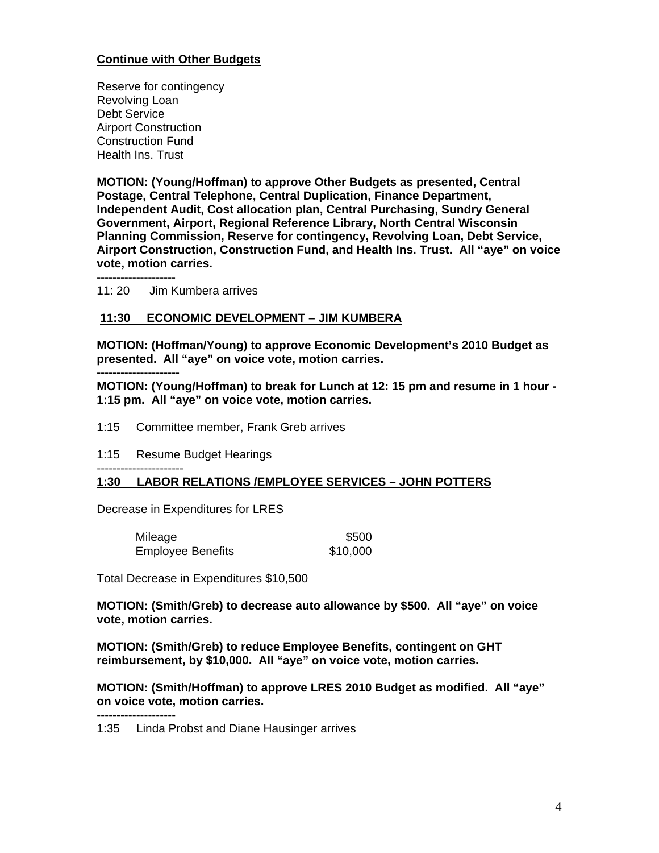### **Continue with Other Budgets**

Reserve for contingency Revolving Loan Debt Service Airport Construction Construction Fund Health Ins. Trust

**MOTION: (Young/Hoffman) to approve Other Budgets as presented, Central Postage, Central Telephone, Central Duplication, Finance Department, Independent Audit, Cost allocation plan, Central Purchasing, Sundry General Government, Airport, Regional Reference Library, North Central Wisconsin Planning Commission, Reserve for contingency, Revolving Loan, Debt Service, Airport Construction, Construction Fund, and Health Ins. Trust. All "aye" on voice vote, motion carries.** 

**--------------------** 

11: 20 Jim Kumbera arrives

#### **11:30 ECONOMIC DEVELOPMENT – JIM KUMBERA**

**MOTION: (Hoffman/Young) to approve Economic Development's 2010 Budget as presented. All "aye" on voice vote, motion carries.** 

**---------------------** 

**MOTION: (Young/Hoffman) to break for Lunch at 12: 15 pm and resume in 1 hour - 1:15 pm. All "aye" on voice vote, motion carries.** 

1:15 Committee member, Frank Greb arrives

1:15 Resume Budget Hearings

----------------------

#### **1:30 LABOR RELATIONS /EMPLOYEE SERVICES – JOHN POTTERS**

Decrease in Expenditures for LRES

| Mileage                  | \$500    |
|--------------------------|----------|
| <b>Employee Benefits</b> | \$10,000 |

Total Decrease in Expenditures \$10,500

**MOTION: (Smith/Greb) to decrease auto allowance by \$500. All "aye" on voice vote, motion carries.** 

**MOTION: (Smith/Greb) to reduce Employee Benefits, contingent on GHT reimbursement, by \$10,000. All "aye" on voice vote, motion carries.** 

**MOTION: (Smith/Hoffman) to approve LRES 2010 Budget as modified. All "aye" on voice vote, motion carries.** 

--------------------

1:35 Linda Probst and Diane Hausinger arrives